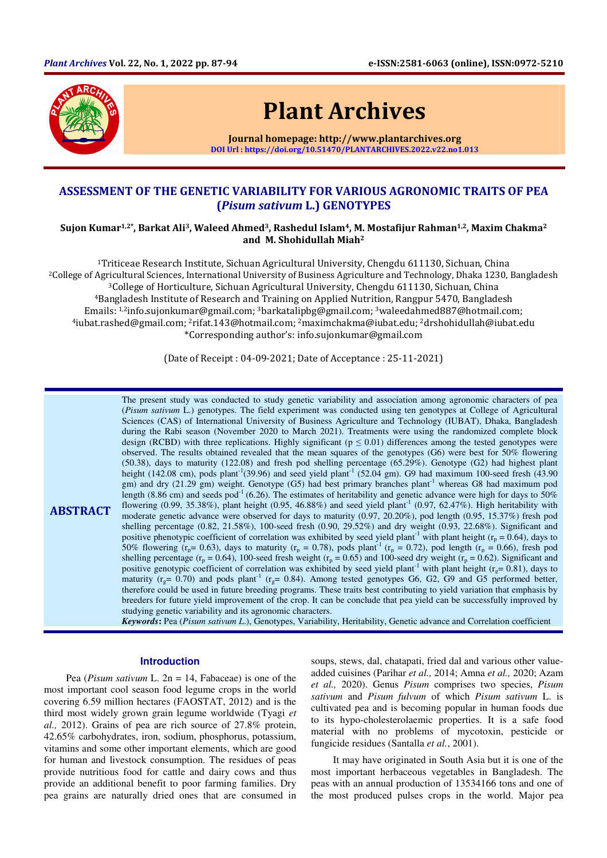

# Plant Archives

Journal homepage: http://www.plantarchives.org DOI Url : https://doi.org/10.51470/PLANTARCHIVES.2022.v22.no1.013

# ASSESSMENT OF THE GENETIC VARIABILITY FOR VARIOUS AGRONOMIC TRAITS OF PEA (Pisum sativum L.) GENOTYPES

# Sujon Kumar<sup>1,2\*</sup>, Barkat Ali<sup>3</sup>, Waleed Ahmed<sup>3</sup>, Rashedul Islam<sup>4</sup>, M. Mostafijur Rahman<sup>1,2</sup>, Maxim Chakma<sup>2</sup> and M. Shohidullah Miah<sup>2</sup>

<sup>1</sup>Triticeae Research Institute, Sichuan Agricultural University, Chengdu 611130, Sichuan, China <sup>2</sup>College of Agricultural Sciences, International University of Business Agriculture and Technology, Dhaka 1230, Bangladesh <sup>3</sup>College of Horticulture, Sichuan Agricultural University, Chengdu 611130, Sichuan, China <sup>4</sup>Bangladesh Institute of Research and Training on Applied Nutrition, Rangpur 5470, Bangladesh Emails: 1,2info.sujonkumar@gmail.com; 3barkatalipbg@gmail.com; 3waleedahmed887@hotmail.com; <sup>4</sup>iubat.rashed@gmail.com; 2rifat.143@hotmail.com; 2maximchakma@iubat.edu; 2drshohidullah@iubat.edu \*Corresponding author's: info.sujonkumar@gmail.com

(Date of Receipt : 04-09-2021; Date of Acceptance : 25-11-2021)

**ABSTRACT** The present study was conducted to study genetic variability and association among agronomic characters of pea (*Pisum sativum* L.) genotypes. The field experiment was conducted using ten genotypes at College of Agricultural Sciences (CAS) of International University of Business Agriculture and Technology (IUBAT), Dhaka, Bangladesh during the Rabi season (November 2020 to March 2021). Treatments were using the randomized complete block design (RCBD) with three replications. Highly significant ( $p \le 0.01$ ) differences among the tested genotypes were observed. The results obtained revealed that the mean squares of the genotypes (G6) were best for 50% flowering (50.38), days to maturity (122.08) and fresh pod shelling percentage (65.29%). Genotype (G2) had highest plant height (142.08 cm), pods plant<sup>-1</sup>(39.96) and seed yield plant<sup>-1</sup> (52.04 gm). G9 had maximum 100-seed fresh (43.90) gm) and dry (21.29 gm) weight. Genotype (G5) had best primary branches plant<sup>-1</sup> whereas G8 had maximum pod length (8.86 cm) and seeds pod<sup>-1</sup> (6.26). The estimates of heritability and genetic advance were high for days to 50% flowering  $(0.99, 35.38\%)$ , plant height  $(0.95, 46.88\%)$  and seed yield plant<sup>-1</sup>  $(0.97, 62.47\%)$ . High heritability with moderate genetic advance were observed for days to maturity (0.97, 20.20%), pod length (0.95, 15.37%) fresh pod shelling percentage (0.82, 21.58%), 100-seed fresh (0.90, 29.52%) and dry weight (0.93, 22.68%). Significant and positive phenotypic coefficient of correlation was exhibited by seed yield plant<sup>-1</sup> with plant height ( $r_p = 0.64$ ), days to 50% flowering ( $r_p$  = 0.63), days to maturity ( $r_p$  = 0.78), pods plant<sup>-1</sup> ( $r_p$  = 0.72), pod length ( $r_p$  = 0.66), fresh pod shelling percentage ( $r_p = 0.64$ ), 100-seed fresh weight ( $r_p = 0.65$ ) and 100-seed dry weight ( $r_p = 0.62$ ). Significant and positive genotypic coefficient of correlation was exhibited by seed yield plant<sup>-1</sup> with plant height ( $r<sub>o</sub> = 0.81$ ), days to maturity ( $r_g$ = 0.70) and pods plant<sup>-1</sup> ( $r_g$ = 0.84). Among tested genotypes G6, G2, G9 and G5 performed better, therefore could be used in future breeding programs. These traits best contributing to yield variation that emphasis by breeders for future yield improvement of the crop. It can be conclude that pea yield can be successfully improved by studying genetic variability and its agronomic characters.

*Keywords***:** Pea (*Pisum sativum L*.), Genotypes, Variability, Heritability, Genetic advance and Correlation coefficient

#### **Introduction**

Pea (*Pisum sativum* L. 2n = 14, Fabaceae) is one of the most important cool season food legume crops in the world covering 6.59 million hectares (FAOSTAT, 2012) and is the third most widely grown grain legume worldwide (Tyagi *et al.,* 2012). Grains of pea are rich source of 27.8% protein, 42.65% carbohydrates, iron, sodium, phosphorus, potassium, vitamins and some other important elements, which are good for human and livestock consumption. The residues of peas provide nutritious food for cattle and dairy cows and thus provide an additional benefit to poor farming families. Dry pea grains are naturally dried ones that are consumed in

soups, stews, dal, chatapati, fried dal and various other valueadded cuisines (Parihar *et al.,* 2014; Amna *et al.,* 2020; Azam *et al.,* 2020). Genus *Pisum* comprises two species, *Pisum sativum* and *Pisum fulvum* of which *Pisum sativum* L. is cultivated pea and is becoming popular in human foods due to its hypo-cholesterolaemic properties. It is a safe food material with no problems of mycotoxin, pesticide or fungicide residues (Santalla *et al.*, 2001).

It may have originated in South Asia but it is one of the most important herbaceous vegetables in Bangladesh. The peas with an annual production of 13534166 tons and one of the most produced pulses crops in the world. Major pea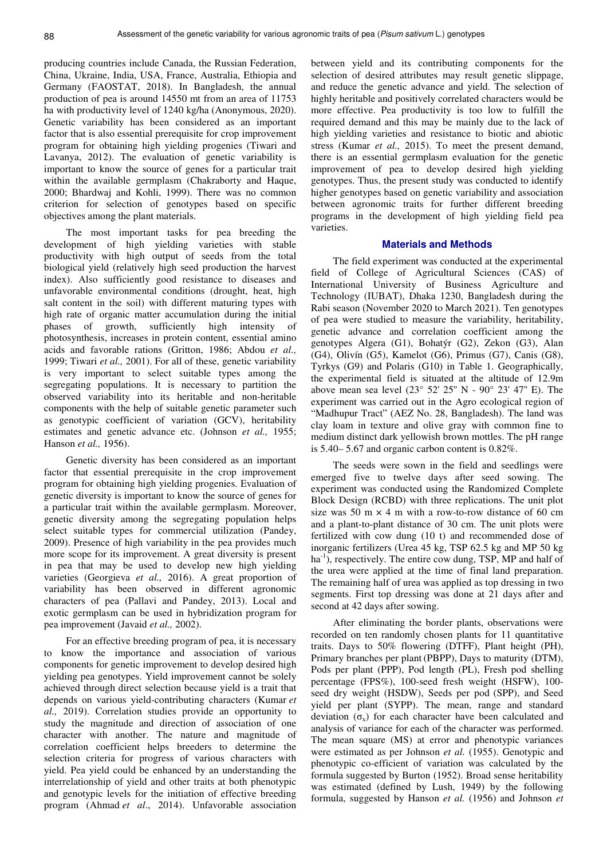producing countries include Canada, the Russian Federation, China, Ukraine, India, USA, France, Australia, Ethiopia and Germany (FAOSTAT, 2018). In Bangladesh, the annual production of pea is around 14550 mt from an area of 11753 ha with productivity level of 1240 kg/ha (Anonymous, 2020). Genetic variability has been considered as an important factor that is also essential prerequisite for crop improvement program for obtaining high yielding progenies (Tiwari and Lavanya, 2012). The evaluation of genetic variability is important to know the source of genes for a particular trait within the available germplasm (Chakraborty and Haque, 2000; Bhardwaj and Kohli, 1999). There was no common criterion for selection of genotypes based on specific objectives among the plant materials.

The most important tasks for pea breeding the development of high yielding varieties with stable productivity with high output of seeds from the total biological yield (relatively high seed production the harvest index). Also sufficiently good resistance to diseases and unfavorable environmental conditions (drought, heat, high salt content in the soil) with different maturing types with high rate of organic matter accumulation during the initial phases of growth, sufficiently high intensity of photosynthesis, increases in protein content, essential amino acids and favorable rations (Gritton, 1986; Abdou *et al.,* 1999; Tiwari *et al.,* 2001). For all of these, genetic variability is very important to select suitable types among the segregating populations. It is necessary to partition the observed variability into its heritable and non-heritable components with the help of suitable genetic parameter such as genotypic coefficient of variation (GCV), heritability estimates and genetic advance etc. (Johnson *et al.,* 1955; Hanson *et al.,* 1956).

Genetic diversity has been considered as an important factor that essential prerequisite in the crop improvement program for obtaining high yielding progenies. Evaluation of genetic diversity is important to know the source of genes for a particular trait within the available germplasm. Moreover, genetic diversity among the segregating population helps select suitable types for commercial utilization (Pandey, 2009). Presence of high variability in the pea provides much more scope for its improvement. A great diversity is present in pea that may be used to develop new high yielding varieties (Georgieva *et al.,* 2016). A great proportion of variability has been observed in different agronomic characters of pea (Pallavi and Pandey, 2013). Local and exotic germplasm can be used in hybridization program for pea improvement (Javaid *et al.,* 2002).

For an effective breeding program of pea, it is necessary to know the importance and association of various components for genetic improvement to develop desired high yielding pea genotypes. Yield improvement cannot be solely achieved through direct selection because yield is a trait that depends on various yield-contributing characters (Kumar *et al.,* 2019). Correlation studies provide an opportunity to study the magnitude and direction of association of one character with another. The nature and magnitude of correlation coefficient helps breeders to determine the selection criteria for progress of various characters with yield. Pea yield could be enhanced by an understanding the interrelationship of yield and other traits at both phenotypic and genotypic levels for the initiation of effective breeding program (Ahmad *et al*., 2014). Unfavorable association

between yield and its contributing components for the selection of desired attributes may result genetic slippage, and reduce the genetic advance and yield. The selection of highly heritable and positively correlated characters would be more effective. Pea productivity is too low to fulfill the required demand and this may be mainly due to the lack of high yielding varieties and resistance to biotic and abiotic stress (Kumar *et al.,* 2015). To meet the present demand, there is an essential germplasm evaluation for the genetic improvement of pea to develop desired high yielding genotypes. Thus, the present study was conducted to identify higher genotypes based on genetic variability and association between agronomic traits for further different breeding programs in the development of high yielding field pea varieties.

### **Materials and Methods**

The field experiment was conducted at the experimental field of College of Agricultural Sciences (CAS) of International University of Business Agriculture and Technology (IUBAT), Dhaka 1230, Bangladesh during the Rabi season (November 2020 to March 2021). Ten genotypes of pea were studied to measure the variability, heritability, genetic advance and correlation coefficient among the genotypes Algera (G1), Bohatýr (G2), Zekon (G3), Alan (G4), Olivín (G5), Kamelot (G6), Primus (G7), Canis (G8), Tyrkys (G9) and Polaris (G10) in Table 1. Geographically, the experimental field is situated at the altitude of 12.9m above mean sea level (23° 52' 25'' N - 90° 23' 47'' E). The experiment was carried out in the Agro ecological region of "Madhupur Tract" (AEZ No. 28, Bangladesh). The land was clay loam in texture and olive gray with common fine to medium distinct dark yellowish brown mottles. The pH range is 5.40– 5.67 and organic carbon content is 0.82%.

The seeds were sown in the field and seedlings were emerged five to twelve days after seed sowing. The experiment was conducted using the Randomized Complete Block Design (RCBD) with three replications. The unit plot size was 50 m  $\times$  4 m with a row-to-row distance of 60 cm and a plant-to-plant distance of 30 cm. The unit plots were fertilized with cow dung (10 t) and recommended dose of inorganic fertilizers (Urea 45 kg, TSP 62.5 kg and MP 50 kg ha<sup>-1</sup>), respectively. The entire cow dung, TSP, MP and half of the urea were applied at the time of final land preparation. The remaining half of urea was applied as top dressing in two segments. First top dressing was done at 21 days after and second at 42 days after sowing.

After eliminating the border plants, observations were recorded on ten randomly chosen plants for 11 quantitative traits. Days to 50% flowering (DTFF), Plant height (PH), Primary branches per plant (PBPP), Days to maturity (DTM), Pods per plant (PPP), Pod length (PL), Fresh pod shelling percentage (FPS%), 100-seed fresh weight (HSFW), 100 seed dry weight (HSDW), Seeds per pod (SPP), and Seed yield per plant (SYPP). The mean, range and standard deviation  $(\sigma_x)$  for each character have been calculated and analysis of variance for each of the character was performed. The mean square (MS) at error and phenotypic variances were estimated as per Johnson *et al.* (1955). Genotypic and phenotypic co-efficient of variation was calculated by the formula suggested by Burton (1952). Broad sense heritability was estimated (defined by Lush, 1949) by the following formula, suggested by Hanson *et al.* (1956) and Johnson *et*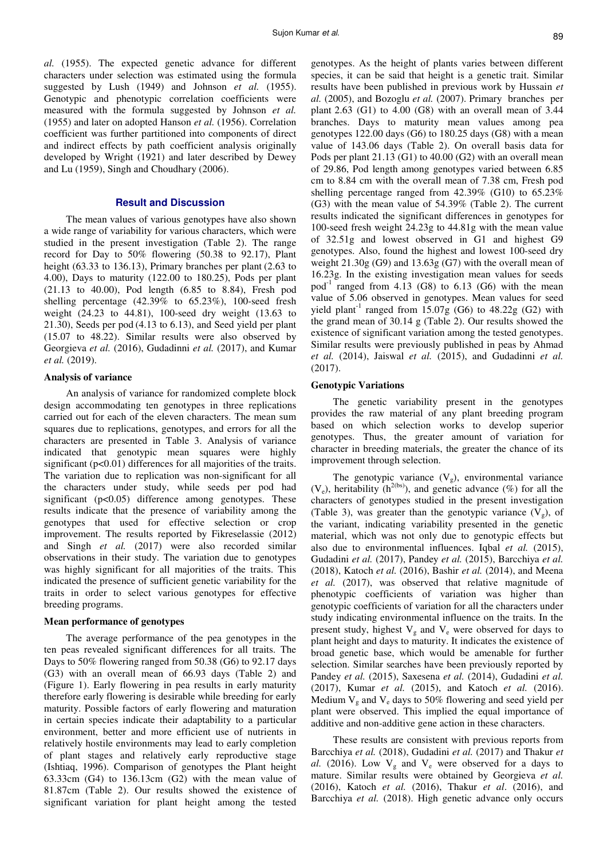*al.* (1955). The expected genetic advance for different characters under selection was estimated using the formula suggested by Lush (1949) and Johnson *et al.* (1955). Genotypic and phenotypic correlation coefficients were measured with the formula suggested by Johnson *et al.* (1955) and later on adopted Hanson *et al.* (1956). Correlation coefficient was further partitioned into components of direct and indirect effects by path coefficient analysis originally developed by Wright (1921) and later described by Dewey and Lu (1959), Singh and Choudhary (2006).

#### **Result and Discussion**

The mean values of various genotypes have also shown a wide range of variability for various characters, which were studied in the present investigation (Table 2). The range record for Day to 50% flowering (50.38 to 92.17), Plant height (63.33 to 136.13), Primary branches per plant (2.63 to 4.00), Days to maturity (122.00 to 180.25), Pods per plant (21.13 to 40.00), Pod length (6.85 to 8.84), Fresh pod shelling percentage (42.39% to 65.23%), 100-seed fresh weight (24.23 to 44.81), 100-seed dry weight (13.63 to 21.30), Seeds per pod (4.13 to 6.13), and Seed yield per plant (15.07 to 48.22). Similar results were also observed by Georgieva *et al.* (2016), Gudadinni *et al.* (2017), and Kumar *et al.* (2019).

#### **Analysis of variance**

An analysis of variance for randomized complete block design accommodating ten genotypes in three replications carried out for each of the eleven characters. The mean sum squares due to replications, genotypes, and errors for all the characters are presented in Table 3. Analysis of variance indicated that genotypic mean squares were highly significant  $(p<0.01)$  differences for all majorities of the traits. The variation due to replication was non-significant for all the characters under study, while seeds per pod had significant (p<0.05) difference among genotypes. These results indicate that the presence of variability among the genotypes that used for effective selection or crop improvement. The results reported by Fikreselassie (2012) and Singh *et al.* (2017) were also recorded similar observations in their study. The variation due to genotypes was highly significant for all majorities of the traits. This indicated the presence of sufficient genetic variability for the traits in order to select various genotypes for effective breeding programs.

#### **Mean performance of genotypes**

The average performance of the pea genotypes in the ten peas revealed significant differences for all traits. The Days to 50% flowering ranged from 50.38 (G6) to 92.17 days (G3) with an overall mean of 66.93 days (Table 2) and (Figure 1). Early flowering in pea results in early maturity therefore early flowering is desirable while breeding for early maturity. Possible factors of early flowering and maturation in certain species indicate their adaptability to a particular environment, better and more efficient use of nutrients in relatively hostile environments may lead to early completion of plant stages and relatively early reproductive stage (Ishtiaq, 1996). Comparison of genotypes the Plant height 63.33cm (G4) to 136.13cm (G2) with the mean value of 81.87cm (Table 2). Our results showed the existence of significant variation for plant height among the tested

genotypes. As the height of plants varies between different species, it can be said that height is a genetic trait. Similar results have been published in previous work by Hussain *et al.* (2005), and Bozoglu *et al.* (2007). Primary branches per plant 2.63 (G1) to 4.00 (G8) with an overall mean of 3.44 branches. Days to maturity mean values among pea genotypes 122.00 days (G6) to 180.25 days (G8) with a mean value of 143.06 days (Table 2). On overall basis data for Pods per plant 21.13 (G1) to 40.00 (G2) with an overall mean of 29.86, Pod length among genotypes varied between 6.85 cm to 8.84 cm with the overall mean of 7.38 cm, Fresh pod shelling percentage ranged from 42.39% (G10) to 65.23% (G3) with the mean value of 54.39% (Table 2). The current results indicated the significant differences in genotypes for 100-seed fresh weight 24.23g to 44.81g with the mean value of 32.51g and lowest observed in G1 and highest G9 genotypes. Also, found the highest and lowest 100-seed dry weight 21.30g (G9) and 13.63g (G7) with the overall mean of 16.23g. In the existing investigation mean values for seeds pod<sup>-1</sup> ranged from 4.13 (G8) to 6.13 (G6) with the mean value of 5.06 observed in genotypes. Mean values for seed yield plant<sup>-1</sup> ranged from  $15.07g$  (G6) to  $48.22g$  (G2) with the grand mean of 30.14 g (Table 2). Our results showed the existence of significant variation among the tested genotypes. Similar results were previously published in peas by Ahmad *et al.* (2014), Jaiswal *et al.* (2015), and Gudadinni *et al.* (2017).

#### **Genotypic Variations**

The genetic variability present in the genotypes provides the raw material of any plant breeding program based on which selection works to develop superior genotypes. Thus, the greater amount of variation for character in breeding materials, the greater the chance of its improvement through selection.

The genotypic variance  $(V<sub>g</sub>)$ , environmental variance  $(V_e)$ , heritability (h<sup>2(bs)</sup>), and genetic advance (%) for all the characters of genotypes studied in the present investigation (Table 3), was greater than the genotypic variance  $(V<sub>g</sub>)$ , of the variant, indicating variability presented in the genetic material, which was not only due to genotypic effects but also due to environmental influences. Iqbal *et al.* (2015), Gudadini *et al.* (2017), Pandey *et al.* (2015), Barcchiya *et al.* (2018), Katoch *et al.* (2016), Bashir *et al.* (2014), and Meena *et al.* (2017), was observed that relative magnitude of phenotypic coefficients of variation was higher than genotypic coefficients of variation for all the characters under study indicating environmental influence on the traits. In the present study, highest  $V_g$  and  $V_e$  were observed for days to plant height and days to maturity. It indicates the existence of broad genetic base, which would be amenable for further selection. Similar searches have been previously reported by Pandey *et al.* (2015), Saxesena *et al.* (2014), Gudadini *et al.* (2017), Kumar *et al.* (2015), and Katoch *et al.* (2016). Medium  $V_g$  and  $V_e$  days to 50% flowering and seed yield per plant were observed. This implied the equal importance of additive and non-additive gene action in these characters.

These results are consistent with previous reports from Barcchiya *et al.* (2018), Gudadini *et al.* (2017) and Thakur *et al.* (2016). Low  $V_g$  and  $V_e$  were observed for a days to mature. Similar results were obtained by Georgieva *et al.* (2016), Katoch *et al.* (2016), Thakur *et al*. (2016), and Barcchiya *et al.* (2018). High genetic advance only occurs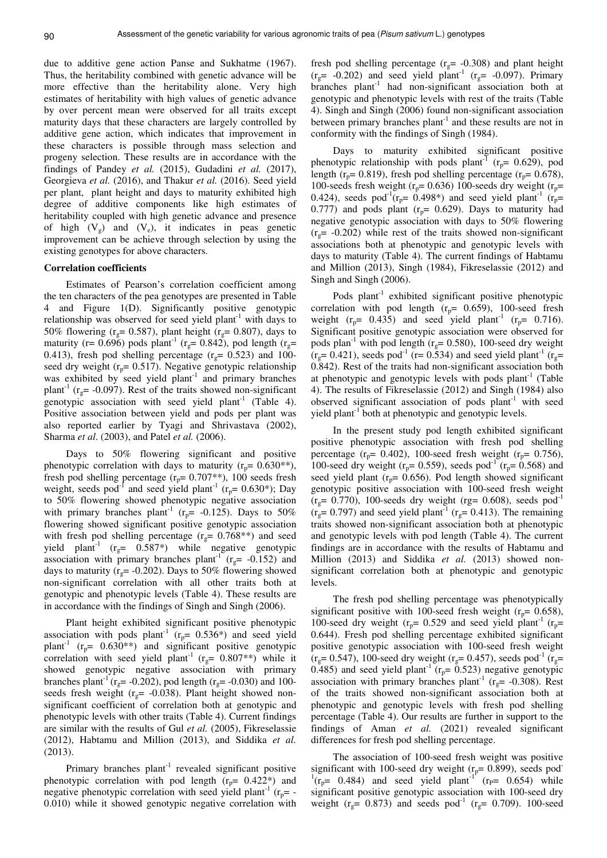due to additive gene action Panse and Sukhatme (1967). Thus, the heritability combined with genetic advance will be more effective than the heritability alone. Very high estimates of heritability with high values of genetic advance by over percent mean were observed for all traits except maturity days that these characters are largely controlled by additive gene action, which indicates that improvement in these characters is possible through mass selection and progeny selection. These results are in accordance with the findings of Pandey *et al.* (2015), Gudadini *et al.* (2017), Georgieva *et al.* (2016), and Thakur *et al.* (2016). Seed yield per plant, plant height and days to maturity exhibited high degree of additive components like high estimates of heritability coupled with high genetic advance and presence of high  $(V_g)$  and  $(V_e)$ , it indicates in peas genetic improvement can be achieve through selection by using the existing genotypes for above characters.

#### **Correlation coefficients**

Estimates of Pearson's correlation coefficient among the ten characters of the pea genotypes are presented in Table 4 and Figure 1(D). Significantly positive genotypic relationship was observed for seed yield plant<sup>-1</sup> with days to 50% flowering ( $r<sub>g</sub>$  = 0.587), plant height ( $r<sub>g</sub>$  = 0.807), days to maturity (r= 0.696) pods plant<sup>-1</sup> (r<sub>g</sub>= 0.842), pod length (r<sub>g</sub>= 0.413), fresh pod shelling percentage ( $r<sub>g</sub>$  = 0.523) and 100seed dry weight ( $r_p$ = 0.517). Negative genotypic relationship was exhibited by seed yield plant<sup>-1</sup> and primary branches plant<sup>-1</sup> ( $r_g$  = -0.097). Rest of the traits showed non-significant genotypic association with seed yield plant<sup>-1</sup> (Table 4). Positive association between yield and pods per plant was also reported earlier by Tyagi and Shrivastava (2002), Sharma *et al*. (2003), and Patel *et al.* (2006).

Days to 50% flowering significant and positive phenotypic correlation with days to maturity ( $r_p$ = 0.630<sup>\*\*</sup>), fresh pod shelling percentage ( $r_p$ = 0.707<sup>\*\*</sup>), 100 seeds fresh weight, seeds pod<sup>-1</sup> and seed yield plant<sup>-1</sup> ( $r_p$ = 0.630\*); Day to 50% flowering showed phenotypic negative association with primary branches plant<sup>-1</sup> ( $r_p$ = -0.125). Days to 50% flowering showed significant positive genotypic association with fresh pod shelling percentage ( $r_g$ = 0.768\*\*) and seed yield plant<sup>-1</sup> ( $r_g$ = 0.587\*) while negative genotypic association with primary branches plant<sup>-1</sup> ( $r_g$ = -0.152) and days to maturity ( $r_g$ = -0.202). Days to 50% flowering showed non-significant correlation with all other traits both at genotypic and phenotypic levels (Table 4). These results are in accordance with the findings of Singh and Singh (2006).

Plant height exhibited significant positive phenotypic association with pods plant<sup>-1</sup> ( $r_p$ = 0.536\*) and seed yield plant<sup>-1</sup> ( $r_p$ = 0.630<sup>\*</sup>\*) and significant positive genotypic correlation with seed yield plant<sup>-1</sup> ( $r<sub>g</sub>$  = 0.807<sup>\*\*</sup>) while it showed genotypic negative association with primary branches plant<sup>-1</sup> ( $r_g$  = -0.202), pod length ( $r_g$  = -0.030) and 100seeds fresh weight ( $r<sub>g</sub>$  = -0.038). Plant height showed nonsignificant coefficient of correlation both at genotypic and phenotypic levels with other traits (Table 4). Current findings are similar with the results of Gul *et al.* (2005), Fikreselassie (2012), Habtamu and Million (2013), and Siddika *et al.* (2013).

Primary branches  $plant^{-1}$  revealed significant positive phenotypic correlation with pod length  $(r_p= 0.422^*)$  and negative phenotypic correlation with seed yield plant<sup>-1</sup> ( $r_p$ = -0.010) while it showed genotypic negative correlation with

fresh pod shelling percentage ( $r<sub>g</sub>$  = -0.308) and plant height  $(r<sub>g</sub>= -0.202)$  and seed yield plant<sup>-1</sup>  $(r<sub>g</sub>= -0.097)$ . Primary branches plant<sup>-1</sup> had non-significant association both at genotypic and phenotypic levels with rest of the traits (Table 4). Singh and Singh (2006) found non-significant association between primary branches plant<sup>-1</sup> and these results are not in conformity with the findings of Singh (1984).

Days to maturity exhibited significant positive phenotypic relationship with pods plant<sup>-1</sup> ( $r_p$ = 0.629), pod length ( $r_p$ = 0.819), fresh pod shelling percentage ( $r_p$ = 0.678), 100-seeds fresh weight ( $r_p$ = 0.636) 100-seeds dry weight ( $r_p$ = 0.424), seeds pod<sup>-1</sup>( $r_p$ = 0.498\*) and seed yield plant<sup>-1</sup> ( $r_p$ = 0.777) and pods plant ( $r_p$ = 0.629). Days to maturity had negative genotypic association with days to 50% flowering  $(r<sub>g</sub>= -0.202)$  while rest of the traits showed non-significant associations both at phenotypic and genotypic levels with days to maturity (Table 4). The current findings of Habtamu and Million (2013), Singh (1984), Fikreselassie (2012) and Singh and Singh (2006).

Pods plant<sup>-1</sup> exhibited significant positive phenotypic correlation with pod length  $(r_p= 0.659)$ , 100-seed fresh weight ( $r_p$ = 0.435) and seed yield plant<sup>-1</sup> ( $r_p$ = 0.716). Significant positive genotypic association were observed for pods plan<sup>-1</sup> with pod length ( $r<sub>g</sub>$ = 0.580), 100-seed dry weight  $(r_g= 0.421)$ , seeds pod<sup>-1</sup> (r= 0.534) and seed yield plant<sup>-1</sup> (r<sub>g</sub>= 0.842). Rest of the traits had non-significant association both at phenotypic and genotypic levels with pods  $plant^{-1}$  (Table 4). The results of Fikreselassie (2012) and Singh (1984) also observed significant association of pods  $plant^{-1}$  with seed yield plant<sup>-1</sup> both at phenotypic and genotypic levels.

In the present study pod length exhibited significant positive phenotypic association with fresh pod shelling percentage ( $r_p$ = 0.402), 100-seed fresh weight ( $r_p$ = 0.756), 100-seed dry weight ( $r_p$ = 0.559), seeds pod<sup>-1</sup> ( $r_p$ = 0.568) and seed yield plant ( $r_p$ = 0.656). Pod length showed significant genotypic positive association with 100-seed fresh weight  $(r<sub>g</sub>= 0.770)$ , 100-seeds dry weight (rg= 0.608), seeds pod<sup>-1</sup>  $(r<sub>g</sub>= 0.797)$  and seed yield plant<sup>-1</sup> ( $r<sub>g</sub>= 0.413$ ). The remaining traits showed non-significant association both at phenotypic and genotypic levels with pod length (Table 4). The current findings are in accordance with the results of Habtamu and Million (2013) and Siddika *et al.* (2013) showed nonsignificant correlation both at phenotypic and genotypic levels.

The fresh pod shelling percentage was phenotypically significant positive with 100-seed fresh weight ( $r_p$ = 0.658), 100-seed dry weight ( $r_p$ = 0.529 and seed yield plant<sup>-1</sup> ( $r_p$ = 0.644). Fresh pod shelling percentage exhibited significant positive genotypic association with 100-seed fresh weight  $(r<sub>g</sub>= 0.547)$ , 100-seed dry weight ( $r<sub>g</sub>= 0.457$ ), seeds pod<sup>-1</sup> ( $r<sub>g</sub>=$ 0.485) and seed yield plant<sup>-1</sup> ( $r_p$ = 0.523) negative genotypic association with primary branches plant<sup>-1</sup> ( $r<sub>g</sub>$ = -0.308). Rest of the traits showed non-significant association both at phenotypic and genotypic levels with fresh pod shelling percentage (Table 4). Our results are further in support to the findings of Aman *et al.* (2021) revealed significant differences for fresh pod shelling percentage.

The association of 100-seed fresh weight was positive significant with 100-seed dry weight  $(r_p= 0.899)$ , seeds pod  $^{1}(r_{p} = 0.484)$  and seed yield plant<sup>-1</sup> ( $r_{p} = 0.654$ ) while significant positive genotypic association with 100-seed dry weight ( $r_g$ = 0.873) and seeds pod<sup>-1</sup> ( $r_g$ = 0.709). 100-seed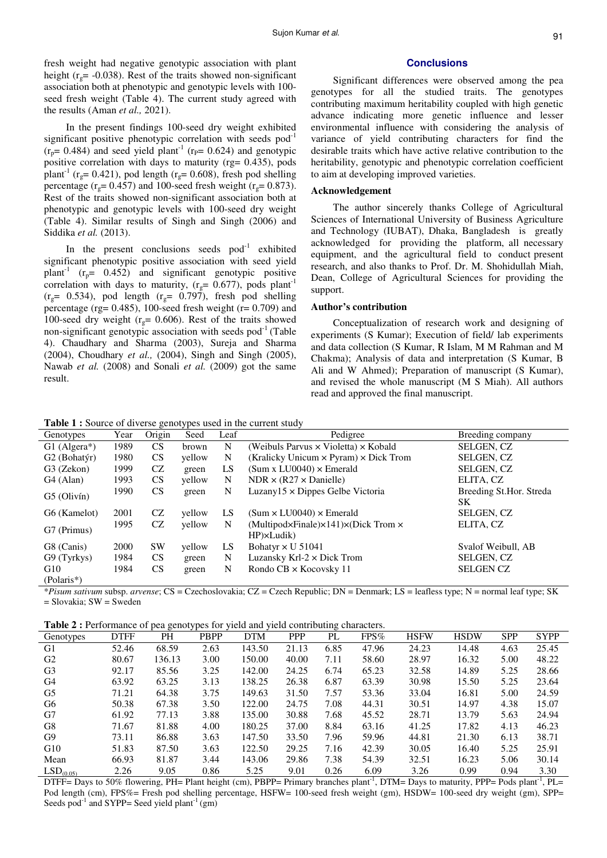fresh weight had negative genotypic association with plant height ( $r_g$ = -0.038). Rest of the traits showed non-significant association both at phenotypic and genotypic levels with 100 seed fresh weight (Table 4). The current study agreed with the results (Aman *et al.,* 2021).

In the present findings 100-seed dry weight exhibited significant positive phenotypic correlation with seeds pod<sup>-1</sup>  $(r_p= 0.484)$  and seed yield plant<sup>-1</sup> ( $r_p= 0.624$ ) and genotypic positive correlation with days to maturity (rg= 0.435), pods plant<sup>-1</sup> (r<sub>o</sub>= 0.421), pod length (r<sub>o</sub>= 0.608), fresh pod shelling percentage ( $r_g$ = 0.457) and 100-seed fresh weight ( $r_g$ = 0.873). Rest of the traits showed non-significant association both at phenotypic and genotypic levels with 100-seed dry weight (Table 4). Similar results of Singh and Singh (2006) and Siddika *et al.* (2013).

In the present conclusions seeds  $pod^{-1}$  exhibited significant phenotypic positive association with seed yield plant<sup>-1</sup> ( $r_p$ = 0.452) and significant genotypic positive correlation with days to maturity,  $(r<sub>g</sub>= 0.677)$ , pods plant<sup>-1</sup>  $(r<sub>g</sub>= 0.534)$ , pod length  $(r<sub>g</sub>= 0.797)$ , fresh pod shelling percentage (rg=  $0.485$ ), 100-seed fresh weight (r=  $0.709$ ) and 100-seed dry weight ( $r<sub>g</sub> = 0.606$ ). Rest of the traits showed non-significant genotypic association with seeds pod<sup>-1</sup> (Table 4). Chaudhary and Sharma (2003), Sureja and Sharma (2004), Choudhary *et al.,* (2004), Singh and Singh (2005), Nawab *et al.* (2008) and Sonali *et al.* (2009) got the same result.

#### **Conclusions**

Significant differences were observed among the pea genotypes for all the studied traits. The genotypes contributing maximum heritability coupled with high genetic advance indicating more genetic influence and lesser environmental influence with considering the analysis of variance of yield contributing characters for find the desirable traits which have active relative contribution to the heritability, genotypic and phenotypic correlation coefficient to aim at developing improved varieties.

#### **Acknowledgement**

The author sincerely thanks College of Agricultural Sciences of International University of Business Agriculture and Technology (IUBAT), Dhaka, Bangladesh is greatly acknowledged for providing the platform, all necessary equipment, and the agricultural field to conduct present research, and also thanks to Prof. Dr. M. Shohidullah Miah, Dean, College of Agricultural Sciences for providing the support.

## **Author's contribution**

Conceptualization of research work and designing of experiments (S Kumar); Execution of field/ lab experiments and data collection (S Kumar, R Islam, M M Rahman and M Chakma); Analysis of data and interpretation (S Kumar, B Ali and W Ahmed); Preparation of manuscript (S Kumar), and revised the whole manuscript (M S Miah). All authors read and approved the final manuscript.

**Table 1 :** Source of diverse genotypes used in the current study

|                             |      | $\circ$   | ◞      |      |                                                                                           |                               |
|-----------------------------|------|-----------|--------|------|-------------------------------------------------------------------------------------------|-------------------------------|
| Genotypes                   | Year | Origin    | Seed   | Leaf | Pedigree                                                                                  | Breeding company              |
| $G1$ (Algera <sup>*</sup> ) | 1989 | CS        | brown  | N    | (Weibuls Parvus $\times$ Violetta) $\times$ Kobald                                        | SELGEN, CZ                    |
| G <sub>2</sub> (Bohatýr)    | 1980 | <b>CS</b> | yellow | N    | (Kralicky Unicum $\times$ Pyram) $\times$ Dick Trom                                       | SELGEN, CZ                    |
| G3 (Zekon)                  | 1999 | CZ        | green  | LS   | $(Sum x LU0040) \times$ Emerald                                                           | SELGEN, CZ                    |
| G <sub>4</sub> (Alan)       | 1993 | <b>CS</b> | yellow | N    | $NDR \times (R27 \times Danielle)$                                                        | ELITA, CZ                     |
| $G5$ (Olivín)               | 1990 | <b>CS</b> | green  | N    | Luzany $15 \times$ Dippes Gelbe Victoria                                                  | Breeding St.Hor. Streda<br>SK |
| G6 (Kamelot)                | 2001 | CZ        | yellow | LS   | $(Sum \times LU0040) \times Emerald$                                                      | <b>SELGEN, CZ</b>             |
| G7 (Primus)                 | 1995 | CZ        | yellow | N    | (Multipod $\times$ Finale) $\times$ 141) $\times$ (Dick Trom $\times$<br>$HP\times Ludik$ | ELITA, CZ                     |
| G8 (Canis)                  | 2000 | <b>SW</b> | yellow | LS   | Bohatyr $\times$ U 51041                                                                  | Svalof Weibull, AB            |
| G9 (Tyrkys)                 | 1984 | <b>CS</b> | green  | N    | Luzansky Krl- $2 \times$ Dick Trom                                                        | SELGEN, CZ                    |
| G10<br>$(Polaris*)$         | 1984 | <b>CS</b> | green  | N    | Rondo $CB \times K$ ocovsky 11                                                            | <b>SELGEN CZ</b>              |

\**Pisum sativum* subsp. *arvense*; CS = Czechoslovakia; CZ = Czech Republic; DN = Denmark; LS = leafless type; N = normal leaf type; SK = Slovakia; SW = Sweden

**Table 2 :** Performance of pea genotypes for yield and yield contributing characters.

| Genotypes             | <b>DTFF</b> | PH     | <b>PBPP</b> | <b>DTM</b> | <b>PPP</b> | っ<br>PL | $FPS\%$ | <b>HSFW</b> | <b>HSDW</b> | <b>SPP</b> | <b>SYPP</b> |
|-----------------------|-------------|--------|-------------|------------|------------|---------|---------|-------------|-------------|------------|-------------|
| G1                    | 52.46       | 68.59  | 2.63        | 143.50     | 21.13      | 6.85    | 47.96   | 24.23       | 14.48       | 4.63       | 25.45       |
| G <sub>2</sub>        | 80.67       | 136.13 | 3.00        | 150.00     | 40.00      | 7.11    | 58.60   | 28.97       | 16.32       | 5.00       | 48.22       |
| G <sub>3</sub>        | 92.17       | 85.56  | 3.25        | 142.00     | 24.25      | 6.74    | 65.23   | 32.58       | 14.89       | 5.25       | 28.66       |
| G4                    | 63.92       | 63.25  | 3.13        | 138.25     | 26.38      | 6.87    | 63.39   | 30.98       | 15.50       | 5.25       | 23.64       |
| G <sub>5</sub>        | 71.21       | 64.38  | 3.75        | 149.63     | 31.50      | 7.57    | 53.36   | 33.04       | 16.81       | 5.00       | 24.59       |
| G6                    | 50.38       | 67.38  | 3.50        | 122.00     | 24.75      | 7.08    | 44.31   | 30.51       | 14.97       | 4.38       | 15.07       |
| G7                    | 61.92       | 77.13  | 3.88        | 135.00     | 30.88      | 7.68    | 45.52   | 28.71       | 13.79       | 5.63       | 24.94       |
| G8                    | 71.67       | 81.88  | 4.00        | 180.25     | 37.00      | 8.84    | 63.16   | 41.25       | 17.82       | 4.13       | 46.23       |
| G <sub>9</sub>        | 73.11       | 86.88  | 3.63        | 147.50     | 33.50      | 7.96    | 59.96   | 44.81       | 21.30       | 6.13       | 38.71       |
| G10                   | 51.83       | 87.50  | 3.63        | 122.50     | 29.25      | 7.16    | 42.39   | 30.05       | 16.40       | 5.25       | 25.91       |
| Mean                  | 66.93       | 81.87  | 3.44        | 143.06     | 29.86      | 7.38    | 54.39   | 32.51       | 16.23       | 5.06       | 30.14       |
| LSD <sub>(0.05)</sub> | 2.26        | 9.05   | 0.86        | 5.25       | 9.01       | 0.26    | 6.09    | 3.26        | 0.99        | 0.94       | 3.30        |

DTFF= Days to 50% flowering, PH= Plant height (cm), PBPP= Primary branches plant<sup>-1</sup>, DTM= Days to maturity, PPP= Pods plant<sup>-1</sup>, PL= Pod length (cm), FPS%= Fresh pod shelling percentage, HSFW= 100-seed fresh weight (gm), HSDW= 100-seed dry weight (gm), SPP= Seeds pod<sup>-1</sup> and SYPP= Seed yield plant<sup>-1</sup> (gm)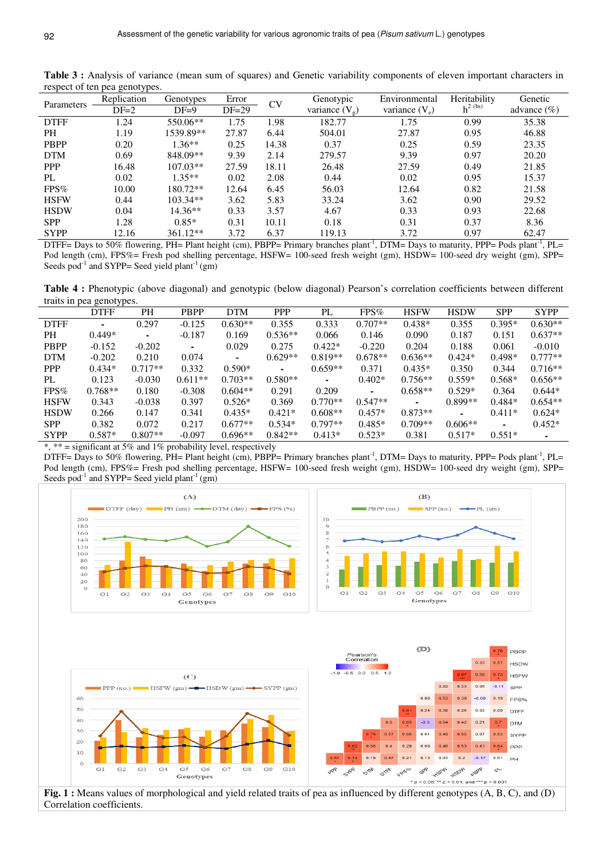|             | $\circ$<br><b>JF</b> |            |         |           |                         |                  |              |                 |
|-------------|----------------------|------------|---------|-----------|-------------------------|------------------|--------------|-----------------|
| Parameters  | Replication          | Genotypes  | Error   | <b>CV</b> | Genotypic               | Environmental    | Heritability | Genetic         |
|             | $DF=2$               | $DF=9$     | $DF=29$ |           | variance $(V_{\alpha})$ | variance $(V_e)$ | $h^{2}$ (bs) | advance $(\% )$ |
| <b>DTFF</b> | 1.24                 | 550.06**   | 1.75    | 1.98      | 182.77                  | 1.75             | 0.99         | 35.38           |
| PH          | 1.19                 | 1539.89**  | 27.87   | 6.44      | 504.01                  | 27.87            | 0.95         | 46.88           |
| <b>PBPP</b> | 0.20                 | $1.36**$   | 0.25    | 14.38     | 0.37                    | 0.25             | 0.59         | 23.35           |
| <b>DTM</b>  | 0.69                 | 848.09**   | 9.39    | 2.14      | 279.57                  | 9.39             | 0.97         | 20.20           |
| <b>PPP</b>  | 16.48                | $107.03**$ | 27.59   | 18.11     | 26.48                   | 27.59            | 0.49         | 21.85           |
| PL          | 0.02                 | $1.35**$   | 0.02    | 2.08      | 0.44                    | 0.02             | 0.95         | 15.37           |
| $FPS\%$     | 10.00                | 180.72**   | 12.64   | 6.45      | 56.03                   | 12.64            | 0.82         | 21.58           |
| <b>HSFW</b> | 0.44                 | $103.34**$ | 3.62    | 5.83      | 33.24                   | 3.62             | 0.90         | 29.52           |
| <b>HSDW</b> | 0.04                 | $14.36**$  | 0.33    | 3.57      | 4.67                    | 0.33             | 0.93         | 22.68           |
| <b>SPP</b>  | 1.28                 | $0.85*$    | 0.31    | 10.11     | 0.18                    | 0.31             | 0.37         | 8.36            |
| <b>SYPP</b> | 12.16                | 361.12**   | 3.72    | 6.37      | 119.13                  | 3.72             | 0.97         | 62.47           |
|             |                      |            |         |           |                         |                  |              |                 |

Table 3 : Analysis of variance (mean sum of squares) and Genetic variability components of eleven important characters in respect of ten pea genotypes.

DTFF= Days to 50% flowering, PH= Plant height (cm), PBPP= Primary branches plant<sup>-1</sup>, DTM= Days to maturity, PPP= Pods plant<sup>-1</sup>, PL= Pod length (cm), FPS%= Fresh pod shelling percentage, HSFW= 100-seed fresh weight (gm), HSDW= 100-seed dry weight (gm), SPP= Seeds pod<sup>-1</sup> and SYPP= Seed yield plant<sup>-1</sup> (gm)

**Table 4 :** Phenotypic (above diagonal) and genotypic (below diagonal) Pearson's correlation coefficients between different traits in pea genotypes.

|             | <b>DTFF</b>    | PH             | <b>PBPP</b>    | <b>DTM</b> | <b>PPP</b> | PL             | $FPS\%$        | <b>HSFW</b>    | <b>HSDW</b> | <b>SPP</b> | <b>SYPP</b>    |
|-------------|----------------|----------------|----------------|------------|------------|----------------|----------------|----------------|-------------|------------|----------------|
| <b>DTFF</b> | $\blacksquare$ | 0.297          | $-0.125$       | $0.630**$  | 0.355      | 0.333          | $0.707**$      | $0.438*$       | 0.355       | $0.395*$   | $0.630**$      |
| PH.         | $0.449*$       | $\blacksquare$ | $-0.187$       | 0.169      | $0.536**$  | 0.066          | 0.146          | 0.090          | 0.187       | 0.151      | $0.637**$      |
| <b>PBPP</b> | $-0.152$       | $-0.202$       | $\blacksquare$ | 0.029      | 0.275      | $0.422*$       | $-0.220$       | 0.204          | 0.188       | 0.061      | $-0.010$       |
| <b>DTM</b>  | $-0.202$       | 0.210          | 0.074          | ۰.         | $0.629**$  | $0.819**$      | $0.678**$      | $0.636**$      | $0.424*$    | $0.498*$   | $0.777**$      |
| <b>PPP</b>  | $0.434*$       | $0.717**$      | 0.332          | $0.590*$   | $\sim$     | $0.659**$      | 0.371          | $0.435*$       | 0.350       | 0.344      | $0.716**$      |
| PL          | 0.123          | $-0.030$       | $0.611**$      | $0.703**$  | $0.580**$  | $\blacksquare$ | $0.402*$       | $0.756**$      | $0.559*$    | $0.568*$   | $0.656**$      |
| $FPS\%$     | $0.768**$      | 0.180          | $-0.308$       | $0.604**$  | 0.291      | 0.209          | $\blacksquare$ | $0.658**$      | $0.529*$    | 0.364      | $0.644*$       |
| <b>HSFW</b> | 0.343          | $-0.038$       | 0.397          | $0.526*$   | 0.369      | $0.770**$      | $0.547**$      | $\blacksquare$ | $0.899**$   | $0.484*$   | $0.654**$      |
| <b>HSDW</b> | 0.266          | 0.147          | 0.341          | $0.435*$   | $0.421*$   | $0.608**$      | $0.457*$       | $0.873**$      | ۰.          | $0.411*$   | $0.624*$       |
| <b>SPP</b>  | 0.382          | 0.072          | 0.217          | $0.677**$  | $0.534*$   | $0.797**$      | $0.485*$       | $0.709**$      | $0.606**$   | ۰          | $0.452*$       |
| <b>SYPP</b> | $0.587*$       | $0.807**$      | $-0.097$       | $0.696**$  | $0.842**$  | $0.413*$       | $0.523*$       | 0.381          | $0.517*$    | $0.551*$   | $\blacksquare$ |

\*, \*\* = significant at 5% and 1% probability level, respectively

Correlation coefficients.

DTFF= Days to 50% flowering,  $PH=$  Plant height (cm), PBPP= Primary branches plant<sup>-1</sup>, DTM= Days to maturity, PPP= Pods plant<sup>-1</sup>, PL= Pod length (cm), FPS%= Fresh pod shelling percentage, HSFW= 100-seed fresh weight (gm), HSDW= 100-seed dry weight (gm), SPP= Seeds pod<sup>-1</sup> and SYPP= Seed yield plant<sup>-1</sup> (gm)

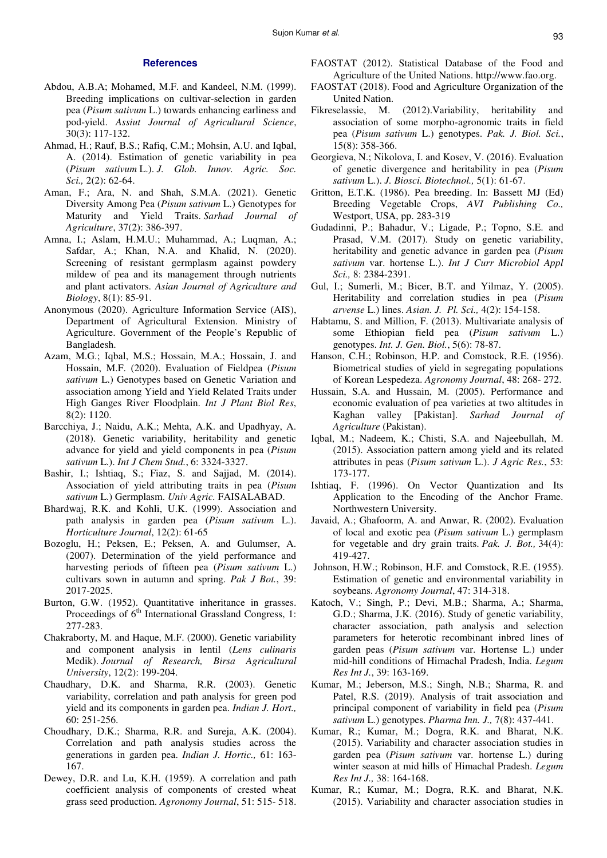# **References**

- Abdou, A.B.A; Mohamed, M.F. and Kandeel, N.M. (1999). Breeding implications on cultivar-selection in garden pea (*Pisum sativum* L.) towards enhancing earliness and pod-yield. *Assiut Journal of Agricultural Science*, 30(3): 117-132.
- Ahmad, H.; Rauf, B.S.; Rafiq, C.M.; Mohsin, A.U. and Iqbal, A. (2014). Estimation of genetic variability in pea (*Pisum sativum* L.). *J. Glob. Innov. Agric. Soc. Sci.,* 2(2): 62-64.
- Aman, F.; Ara, N. and Shah, S.M.A. (2021). Genetic Diversity Among Pea (*Pisum sativum* L.) Genotypes for Maturity and Yield Traits. *Sarhad Journal of Agriculture*, 37(2): 386-397.
- Amna, I.; Aslam, H.M.U.; Muhammad, A.; Luqman, A.; Safdar, A.; Khan, N.A. and Khalid, N. (2020). Screening of resistant germplasm against powdery mildew of pea and its management through nutrients and plant activators. *Asian Journal of Agriculture and Biology*, 8(1): 85-91.
- Anonymous (2020). Agriculture Information Service (AIS), Department of Agricultural Extension. Ministry of Agriculture. Government of the People's Republic of Bangladesh.
- Azam, M.G.; Iqbal, M.S.; Hossain, M.A.; Hossain, J. and Hossain, M.F. (2020). Evaluation of Fieldpea (*Pisum sativum* L.) Genotypes based on Genetic Variation and association among Yield and Yield Related Traits under High Ganges River Floodplain. *Int J Plant Biol Res*, 8(2): 1120.
- Barcchiya, J.; Naidu, A.K.; Mehta, A.K. and Upadhyay, A. (2018). Genetic variability, heritability and genetic advance for yield and yield components in pea (*Pisum sativum* L.). *Int J Chem Stud.*, 6: 3324-3327.
- Bashir, I.; Ishtiaq, S.; Fiaz, S. and Sajjad, M. (2014). Association of yield attributing traits in pea (*Pisum sativum* L.) Germplasm. *Univ Agric.* FAISALABAD.
- Bhardwaj, R.K. and Kohli, U.K. (1999). Association and path analysis in garden pea (*Pisum sativum* L.). *Horticulture Journal*, 12(2): 61-65
- Bozoglu, H.; Peksen, E.; Peksen, A. and Gulumser, A. (2007). Determination of the yield performance and harvesting periods of fifteen pea (*Pisum sativum* L.) cultivars sown in autumn and spring. *Pak J Bot.*, 39: 2017-2025.
- Burton, G.W. (1952). Quantitative inheritance in grasses. Proceedings of  $6<sup>th</sup>$  International Grassland Congress, 1: 277-283.
- Chakraborty, M. and Haque, M.F. (2000). Genetic variability and component analysis in lentil (*Lens culinaris* Medik). *Journal of Research, Birsa Agricultural University*, 12(2): 199-204.
- Chaudhary, D.K. and Sharma, R.R. (2003). Genetic variability, correlation and path analysis for green pod yield and its components in garden pea. *Indian J. Hort.,* 60: 251-256.
- Choudhary, D.K.; Sharma, R.R. and Sureja, A.K. (2004). Correlation and path analysis studies across the generations in garden pea. *Indian J. Hortic.,* 61: 163- 167.
- Dewey, D.R. and Lu, K.H. (1959). A correlation and path coefficient analysis of components of crested wheat grass seed production. *Agronomy Journal*, 51: 515- 518.
- FAOSTAT (2012). Statistical Database of the Food and Agriculture of the United Nations. http://www.fao.org.
- FAOSTAT (2018). Food and Agriculture Organization of the United Nation.
- Fikreselassie, M. (2012).Variability, heritability and association of some morpho-agronomic traits in field pea (*Pisum sativum* L.) genotypes. *Pak. J. Biol. Sci.*, 15(8): 358-366.
- Georgieva, N.; Nikolova, I. and Kosev, V. (2016). Evaluation of genetic divergence and heritability in pea (*Pisum sativum* L.). *J. Biosci. Biotechnol.,* 5(1): 61-67.
- Gritton, E.T.K. (1986). Pea breeding. In: Bassett MJ (Ed) Breeding Vegetable Crops, *AVI Publishing Co.,* Westport, USA, pp. 283-319
- Gudadinni, P.; Bahadur, V.; Ligade, P.; Topno, S.E. and Prasad, V.M. (2017). Study on genetic variability, heritability and genetic advance in garden pea (*Pisum sativum* var. hortense L.). *Int J Curr Microbiol Appl Sci.,* 8: 2384-2391.
- Gul, I.; Sumerli, M.; Bicer, B.T. and Yilmaz, Y. (2005). Heritability and correlation studies in pea (*Pisum arvense* L.) lines. *Asian. J. Pl. Sci.,* 4(2): 154-158.
- Habtamu, S. and Million, F. (2013). Multivariate analysis of some Ethiopian field pea (*Pisum sativum* L.) genotypes. *Int. J. Gen. Biol.*, 5(6): 78-87.
- Hanson, C.H.; Robinson, H.P. and Comstock, R.E. (1956). Biometrical studies of yield in segregating populations of Korean Lespedeza. *Agronomy Journal*, 48: 268- 272.
- Hussain, S.A. and Hussain, M. (2005). Performance and economic evaluation of pea varieties at two altitudes in Kaghan valley [Pakistan]. *Sarhad Journal of Agriculture* (Pakistan).
- Iqbal, M.; Nadeem, K.; Chisti, S.A. and Najeebullah, M. (2015). Association pattern among yield and its related attributes in peas (*Pisum sativum* L.). *J Agric Res.*, 53: 173-177.
- Ishtiaq, F. (1996). On Vector Quantization and Its Application to the Encoding of the Anchor Frame. Northwestern University.
- Javaid, A.; Ghafoorm, A. and Anwar, R. (2002). Evaluation of local and exotic pea (*Pisum sativum* L.) germplasm for vegetable and dry grain traits. *Pak. J. Bot.,* 34(4): 419-427.
- Johnson, H.W.; Robinson, H.F. and Comstock, R.E. (1955). Estimation of genetic and environmental variability in soybeans. *Agronomy Journal*, 47: 314-318.
- Katoch, V.; Singh, P.; Devi, M.B.; Sharma, A.; Sharma, G.D.; Sharma, J.K. (2016). Study of genetic variability, character association, path analysis and selection parameters for heterotic recombinant inbred lines of garden peas (*Pisum sativum* var. Hortense L.) under mid-hill conditions of Himachal Pradesh, India. *Legum Res Int J.*, 39: 163-169.
- Kumar, M.; Jeberson, M.S.; Singh, N.B.; Sharma, R. and Patel, R.S. (2019). Analysis of trait association and principal component of variability in field pea (*Pisum sativum* L.) genotypes. *Pharma Inn. J.,* 7(8): 437-441.
- Kumar, R.; Kumar, M.; Dogra, R.K. and Bharat, N.K. (2015). Variability and character association studies in garden pea (*Pisum sativum* var. hortense L.) during winter season at mid hills of Himachal Pradesh. *Legum Res Int J.,* 38: 164-168.
- Kumar, R.; Kumar, M.; Dogra, R.K. and Bharat, N.K. (2015). Variability and character association studies in